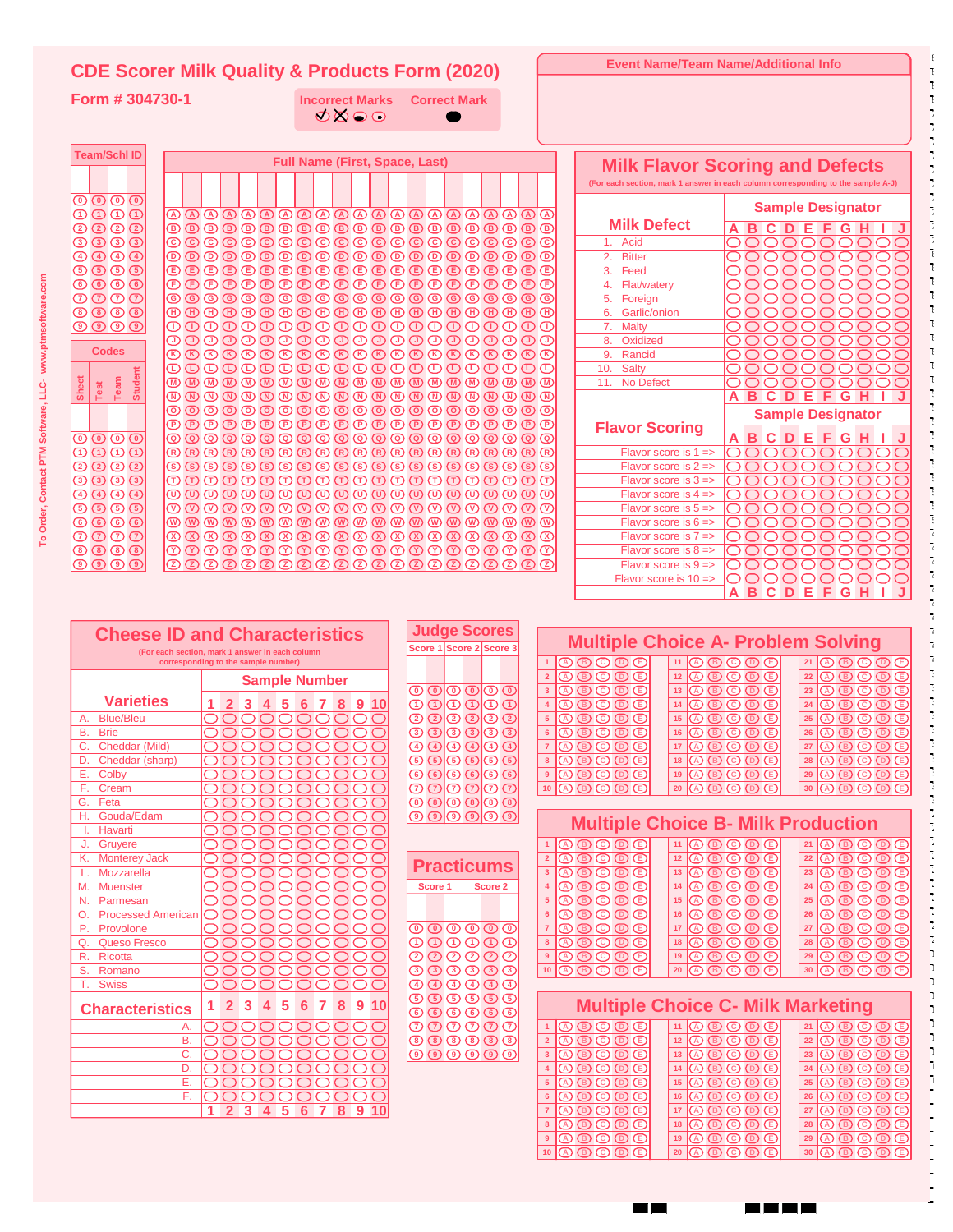| <b>CDE Scorer Milk Quality &amp; Products Form (2020)</b>                                                                         |                                                                                        |                                          |                                                                                                                                                                                                                                                                                                                                                                                                                                                                                                                                                                                                                                                                                       |                                  |                                                                                                                                                       | <b>Event Name/Team Name/Additional Info</b>                                                                                                                                                               |
|-----------------------------------------------------------------------------------------------------------------------------------|----------------------------------------------------------------------------------------|------------------------------------------|---------------------------------------------------------------------------------------------------------------------------------------------------------------------------------------------------------------------------------------------------------------------------------------------------------------------------------------------------------------------------------------------------------------------------------------------------------------------------------------------------------------------------------------------------------------------------------------------------------------------------------------------------------------------------------------|----------------------------------|-------------------------------------------------------------------------------------------------------------------------------------------------------|-----------------------------------------------------------------------------------------------------------------------------------------------------------------------------------------------------------|
| Form # 304730-1                                                                                                                   |                                                                                        | <b>Incorrect Marks</b>                   | <b>Correct Mark</b>                                                                                                                                                                                                                                                                                                                                                                                                                                                                                                                                                                                                                                                                   |                                  |                                                                                                                                                       |                                                                                                                                                                                                           |
|                                                                                                                                   |                                                                                        | <b>ØØOO</b>                              |                                                                                                                                                                                                                                                                                                                                                                                                                                                                                                                                                                                                                                                                                       |                                  |                                                                                                                                                       |                                                                                                                                                                                                           |
|                                                                                                                                   |                                                                                        |                                          |                                                                                                                                                                                                                                                                                                                                                                                                                                                                                                                                                                                                                                                                                       |                                  |                                                                                                                                                       |                                                                                                                                                                                                           |
| <b>Team/Schl ID</b>                                                                                                               |                                                                                        | <b>Full Name (First, Space, Last)</b>    |                                                                                                                                                                                                                                                                                                                                                                                                                                                                                                                                                                                                                                                                                       |                                  |                                                                                                                                                       |                                                                                                                                                                                                           |
|                                                                                                                                   |                                                                                        |                                          |                                                                                                                                                                                                                                                                                                                                                                                                                                                                                                                                                                                                                                                                                       |                                  |                                                                                                                                                       | <b>Milk Flavor Scoring and Defects</b><br>(For each section, mark 1 answer in each column corresponding to the sample A-J)                                                                                |
| ಄಄಄಄                                                                                                                              |                                                                                        |                                          |                                                                                                                                                                                                                                                                                                                                                                                                                                                                                                                                                                                                                                                                                       |                                  |                                                                                                                                                       |                                                                                                                                                                                                           |
| $\overline{\mathbb{O}}\,\overline{\mathbb{O}}\,\overline{\mathbb{O}}\,\overline{\mathbb{O}}$                                      |                                                                                        |                                          | ***********************                                                                                                                                                                                                                                                                                                                                                                                                                                                                                                                                                                                                                                                               |                                  | <b>Milk Defect</b>                                                                                                                                    | <b>Sample Designator</b>                                                                                                                                                                                  |
| ${\mathcal{D}}\mathcal{D} {\mathcal{D}}\mathcal{D}$<br>0000                                                                       |                                                                                        |                                          | 0000000000000000000000<br>0000000000000000000000                                                                                                                                                                                                                                                                                                                                                                                                                                                                                                                                                                                                                                      |                                  | Acid<br>1.                                                                                                                                            | <b>ABCDEFGH</b><br>000000<br>$\bigcap$<br>O                                                                                                                                                               |
| $\bigcirc$ $\bigcirc$ $\bigcirc$ $\bigcirc$                                                                                       |                                                                                        |                                          | 0000000000000000000000                                                                                                                                                                                                                                                                                                                                                                                                                                                                                                                                                                                                                                                                |                                  | 2.<br><b>Bitter</b>                                                                                                                                   | 000000000                                                                                                                                                                                                 |
| $O$ $O$ $O$ $O$                                                                                                                   |                                                                                        |                                          | $\textcircled{\textsf{F}}$ $\textcircled{\textsf{F}}$ $\textcircled{\textsf{F}}$ $\textcircled{\textsf{F}}$ $\textcircled{\textsf{F}}$ $\textcircled{\textsf{F}}$ $\textcircled{\textsf{F}}$ $\textcircled{\textsf{F}}$ $\textcircled{\textsf{F}}$ $\textcircled{\textsf{F}}$ $\textcircled{\textsf{F}}$ $\textcircled{\textsf{F}}$ $\textcircled{\textsf{F}}$ $\textcircled{\textsf{F}}$ $\textcircled{\textsf{F}}$                                                                                                                                                                                                                                                                  |                                  | Feed<br>3.                                                                                                                                            | nnn<br>OO<br>$\bigcirc$<br>$\bigcap$                                                                                                                                                                      |
| $\circledcirc$ $\circledcirc$<br>$\overline{\mathcal{O}}\,\overline{\mathcal{O}}\,\overline{\mathcal{O}}\,\overline{\mathcal{O}}$ |                                                                                        |                                          | 000000000000000000000<br>© © © © © © © © © © © © © © © © © ©<br>ര                                                                                                                                                                                                                                                                                                                                                                                                                                                                                                                                                                                                                     |                                  | Flat/watery<br>4.<br>Foreign<br>5.                                                                                                                    | 000000<br>$\bigcirc$<br>OO<br>OO<br>$\bigcirc$<br>$\left( \begin{array}{c} 1 \end{array} \right)$                                                                                                         |
| $\circledcirc \circledcirc$                                                                                                       |                                                                                        |                                          |                                                                                                                                                                                                                                                                                                                                                                                                                                                                                                                                                                                                                                                                                       |                                  | Garlic/onion<br>6.                                                                                                                                    | $\bigcirc$<br>◯<br>OO<br>OO<br>$\bigcirc$                                                                                                                                                                 |
| $\overline{\circ}$ $\overline{\circ}$ $\overline{\circ}$                                                                          |                                                                                        |                                          | 00000000000000000000                                                                                                                                                                                                                                                                                                                                                                                                                                                                                                                                                                                                                                                                  |                                  | 7.<br><b>Malty</b><br>8.<br>Oxidized                                                                                                                  | $\bigcirc$<br>◯<br>OO<br>$\left( \begin{array}{c} 1 \end{array} \right)$                                                                                                                                  |
| <b>Codes</b>                                                                                                                      |                                                                                        |                                          | 000000000000000000000                                                                                                                                                                                                                                                                                                                                                                                                                                                                                                                                                                                                                                                                 |                                  | Rancid<br>9.                                                                                                                                          | $\bigcirc$<br>$\bigcirc$<br>◯<br>OOOO<br>$\bigcirc$<br>$\bigcirc$<br>OO<br>◯<br>$\left( \begin{array}{c} 1 \end{array} \right)$                                                                           |
|                                                                                                                                   |                                                                                        |                                          | 0000000000000000000                                                                                                                                                                                                                                                                                                                                                                                                                                                                                                                                                                                                                                                                   |                                  | <b>Salty</b><br>10.                                                                                                                                   | OO<br>◯<br>$\circ$<br>OO<br>$\bigcirc$                                                                                                                                                                    |
| <b>Student</b><br>Sheet<br>Team<br>Test                                                                                           |                                                                                        |                                          | (M)<br>®®®®®®®®®®®®®®®®®®®®®                                                                                                                                                                                                                                                                                                                                                                                                                                                                                                                                                                                                                                                          |                                  | 11.<br>No Defect                                                                                                                                      | ◯<br>$\bigcirc$<br>OO<br>$\left( \begin{array}{c} 1 \end{array} \right)$<br><b>ABCDEFGH</b>                                                                                                               |
|                                                                                                                                   |                                                                                        |                                          | ©©©©©©©©©©©©©©©©©©©©©                                                                                                                                                                                                                                                                                                                                                                                                                                                                                                                                                                                                                                                                 |                                  |                                                                                                                                                       | <b>Sample Designator</b>                                                                                                                                                                                  |
|                                                                                                                                   |                                                                                        |                                          | ©©©©©©©©©©©©©©©©©©©©                                                                                                                                                                                                                                                                                                                                                                                                                                                                                                                                                                                                                                                                  |                                  | <b>Flavor Scoring</b>                                                                                                                                 |                                                                                                                                                                                                           |
| ಄಄಄಄<br>ூ⊙ூ                                                                                                                       |                                                                                        |                                          | $\begin{array}{c} \mathbb{Q} \oplus \mathbb{Q} \oplus \mathbb{Q} \oplus \mathbb{Q} \oplus \mathbb{Q} \oplus \mathbb{Q} \oplus \mathbb{Q} \oplus \mathbb{Q} \oplus \mathbb{Q} \oplus \mathbb{Q} \oplus \mathbb{Q} \end{array}$<br>®®®®®®®®®®®®®®®®®®®®®                                                                                                                                                                                                                                                                                                                                                                                                                                |                                  | Flavor score is $1 =$                                                                                                                                 | <b>ABCDEFGHI</b><br>$\circ$<br>OOO<br>$\circlearrowright$<br>$\bigcirc$<br>O                                                                                                                              |
| 0000                                                                                                                              |                                                                                        |                                          |                                                                                                                                                                                                                                                                                                                                                                                                                                                                                                                                                                                                                                                                                       |                                  | Flavor score is $2 \Rightarrow$                                                                                                                       | $\circlearrowright$<br>OO<br>◯<br>OO<br>$\bigcirc$                                                                                                                                                        |
| <b>0000</b>                                                                                                                       |                                                                                        |                                          | 0000000000000000000                                                                                                                                                                                                                                                                                                                                                                                                                                                                                                                                                                                                                                                                   |                                  | Flavor score is $3 =$                                                                                                                                 | OO<br>000000                                                                                                                                                                                              |
| $\bigcirc$ $\bigcirc$ $\bigcirc$ $\bigcirc$<br><b>5555</b>                                                                        |                                                                                        |                                          | ${\color{blue}\textcircled{\color{green}0}}{\color{green}\textcircled{\color{green}0}}{\color{green}\textcircled{\color{green}0}}{\color{green}\textcircled{\color{green}0}}{\color{green}\textcircled{\color{green}0}}{\color{green}\textcircled{\color{green}0}}{\color{green}\textcircled{\color{green}0}}{\color{green}\textcircled{\color{green}0}}{\color{green}\textcircled{\color{green}0}}{\color{green}\textcircled{\color{green}0}}{\color{green}\textcircled{\color{green}0}}{\color{green}\textcircled{\color{green}0}}{\color{green}\textcircled{\color{green}0}}{\color{green}\textcircled{\color{green}0}}{\color{green}\textcircled{\color$<br>©©©©©©©©©©©©©©©©©©©©© |                                  | Flavor score is $4 =$<br>Flavor score is $5 =$                                                                                                        | OO<br>$\bigcirc$<br>◯<br>◯<br>OO<br>$\bigcirc$<br>O<br>$\circ$<br>OOOOO                                                                                                                                   |
| $\circledcirc \circledcirc$                                                                                                       |                                                                                        |                                          | **********************                                                                                                                                                                                                                                                                                                                                                                                                                                                                                                                                                                                                                                                                |                                  | Flavor score is $6 =$                                                                                                                                 | ◯<br>$\bigcirc$<br>O<br>OO<br>$\left( \begin{array}{c} 1 \end{array} \right)$                                                                                                                             |
| $\overline{\mathcal{O}}\,\overline{\mathcal{O}}\,\overline{\mathcal{O}}\,\overline{\mathcal{O}}$                                  |                                                                                        |                                          | $@0@0@0@0@0@0@0@0@0@0@0@0@$                                                                                                                                                                                                                                                                                                                                                                                                                                                                                                                                                                                                                                                           |                                  | Flavor score is $7 =$                                                                                                                                 | $\circlearrowright$<br>$\bigcirc$<br>O<br>OO<br>OO<br>$\bigcirc$                                                                                                                                          |
| 0000<br>$\circledcirc$ $\circledcirc$ $\circledcirc$                                                                              |                                                                                        |                                          | $@0@0@0@0@0@0@0@0@0@0@0\\$<br>0000000000000000000000                                                                                                                                                                                                                                                                                                                                                                                                                                                                                                                                                                                                                                  |                                  | Flavor score is $8 =$<br>Flavor score is $9 =$                                                                                                        | ◯<br>◯<br>$\bigcirc$<br>O<br>OO<br>OO<br>$\bigcirc$                                                                                                                                                       |
|                                                                                                                                   |                                                                                        |                                          |                                                                                                                                                                                                                                                                                                                                                                                                                                                                                                                                                                                                                                                                                       |                                  | Flavor score is $10 =$                                                                                                                                | O<br>00000<br>$\circlearrowright$<br>OO<br>$\bigcirc$<br>O<br>OO<br>$\bigcirc$                                                                                                                            |
|                                                                                                                                   |                                                                                        |                                          |                                                                                                                                                                                                                                                                                                                                                                                                                                                                                                                                                                                                                                                                                       |                                  |                                                                                                                                                       | DEFG<br>A B C<br>н                                                                                                                                                                                        |
|                                                                                                                                   |                                                                                        |                                          |                                                                                                                                                                                                                                                                                                                                                                                                                                                                                                                                                                                                                                                                                       |                                  |                                                                                                                                                       |                                                                                                                                                                                                           |
| <b>Cheese ID and Characteristics</b>                                                                                              |                                                                                        |                                          | <b>Judge Scores</b>                                                                                                                                                                                                                                                                                                                                                                                                                                                                                                                                                                                                                                                                   |                                  |                                                                                                                                                       | <b>Multiple Choice A- Problem Solving</b>                                                                                                                                                                 |
|                                                                                                                                   | (For each section, mark 1 answer in each column<br>corresponding to the sample number) |                                          | Score 1 Score 2 Score 3                                                                                                                                                                                                                                                                                                                                                                                                                                                                                                                                                                                                                                                               |                                  | $\overline{A}$<br>$\overline{B}$ $\overline{C}$ $\overline{D}$ $\overline{D}$<br>11<br>I(A)                                                           | $21$ $\circledcirc$ $\circledcirc$ $\circledcirc$ $\circledcirc$<br>$\circledcirc \circledcirc \circledcirc$                                                                                              |
|                                                                                                                                   |                                                                                        | <b>Sample Number</b>                     |                                                                                                                                                                                                                                                                                                                                                                                                                                                                                                                                                                                                                                                                                       | $\overline{2}$                   | の®のの®<br>12 <sub>2</sub><br>lO)                                                                                                                       | $\circledcirc \circledcirc \circledcirc$                                                                                                                                                                  |
| <b>Varieties</b>                                                                                                                  |                                                                                        |                                          | $\overline{\mathbb{O}}\,\overline{\mathbb{O}}\,\overline{\mathbb{O}}\,\overline{\mathbb{O}}\,\overline{\mathbb{O}}$                                                                                                                                                                                                                                                                                                                                                                                                                                                                                                                                                                   | $\mathbf{3}$                     | の®のの®<br>13                                                                                                                                           | $\circledR \circledR \circledR \circledR$<br>23<br> 0 ® © © ©                                                                                                                                             |
| <b>Blue/Bleu</b><br>Α.                                                                                                            | -2<br>OOO<br>◯                                                                         | 3 4 5 6 7 8 9 10<br>◯<br>$\bigcirc$<br>◯ | @@@@@@<br>QQQQQQ                                                                                                                                                                                                                                                                                                                                                                                                                                                                                                                                                                                                                                                                      | $\overline{4}$<br>5 <sub>5</sub> | 14<br>ののの<br>$\circledcirc$<br>15<br>$\circledR$ $\circledR$<br><br>$(D)$ $(E)$                                                                       | 24<br>④⑤⑤⓪⑥<br>25<br>$\circledcirc \circledcirc \circledcirc$<br>$\circledR \circledR \circledR \circledR$                                                                                                |
| <b>Brie</b><br>В.                                                                                                                 | 000000                                                                                 | $\bigcirc$<br>$\bigcirc$<br>$\cup$       | 0 0 0 0 0 0                                                                                                                                                                                                                                                                                                                                                                                                                                                                                                                                                                                                                                                                           | $6\phantom{a}$                   | 16<br>ののの<br>$\circledcirc$<br>                                                                                                                       | 26<br>0000<br>@ ® © ®<br>IŒ                                                                                                                                                                               |
| Cheddar (Mild)<br>C.                                                                                                              | 00000000                                                                               | $\bigcirc$                               | $\begin{picture}(45,10) \put(0,0){\line(1,0){10}} \put(15,0){\line(1,0){10}} \put(15,0){\line(1,0){10}} \put(15,0){\line(1,0){10}} \put(15,0){\line(1,0){10}} \put(15,0){\line(1,0){10}} \put(15,0){\line(1,0){10}} \put(15,0){\line(1,0){10}} \put(15,0){\line(1,0){10}} \put(15,0){\line(1,0){10}} \put(15,0){\line(1,0){10}} \put(15,0){\line(1$                                                                                                                                                                                                                                                                                                                                   | $\overline{7}$                   | の®©®®<br>17                                                                                                                                           | $27$ (A $\circledcirc$ $\circledcirc$ $\circledcirc$<br>00000                                                                                                                                             |
| Cheddar (sharp)<br>Е.<br>Colby                                                                                                    |                                                                                        | 200000000<br>0000000000                  | <b>⑤ ⑤ ⑤ ⑤ ⑤</b> ⑤<br>$\circledcirc$ $\circledcirc$ $\circledcirc$                                                                                                                                                                                                                                                                                                                                                                                                                                                                                                                                                                                                                    | 9                                | း ပြယ္ပြယ္ပြယ္ပြ<br>$\textcircled{\tiny{0}}$ $\textcircled{\tiny{1}}$                                                                                 | 18 (A) (B) (C) (D) (B)<br>28 (A) (B) (C) (D) (E)<br>19 0 0 0 0 D<br>29 0 0 0 0 D                                                                                                                          |
| F.<br>Cream                                                                                                                       |                                                                                        | 0000000000                               | $\mathcal{O} \oslash \oslash \oslash \oslash \oslash$                                                                                                                                                                                                                                                                                                                                                                                                                                                                                                                                                                                                                                 |                                  | $10$ (A $\circledcirc$ $\circledcirc$ $\circledcirc$                                                                                                  | 20   ① ③ ③ ③ ③<br>30 0 0 0 0 D                                                                                                                                                                            |
| Feta<br>G.                                                                                                                        |                                                                                        | 000000000                                | $\circledcirc$ $\circledcirc$ $\circledcirc$                                                                                                                                                                                                                                                                                                                                                                                                                                                                                                                                                                                                                                          |                                  |                                                                                                                                                       |                                                                                                                                                                                                           |
| Gouda/Edam<br>Η.<br>Havarti<br>Ъ.                                                                                                 |                                                                                        | 0000000000<br>000000000                  | $\boxed{0}$ $\boxed{0}$ $\boxed{0}$ $\boxed{0}$                                                                                                                                                                                                                                                                                                                                                                                                                                                                                                                                                                                                                                       |                                  |                                                                                                                                                       | <b>Multiple Choice B- Milk Production</b>                                                                                                                                                                 |
| Gruyere<br>J.                                                                                                                     |                                                                                        | 0000000000                               |                                                                                                                                                                                                                                                                                                                                                                                                                                                                                                                                                                                                                                                                                       |                                  | $\textcircled{\small{0}}\textcircled{\small{0}}\textcircled{\small{0}}$<br>11                                                                         | $21$ $\circledcirc$ $\circledcirc$ $\circledcirc$ $\circledcirc$<br>00000                                                                                                                                 |
| K. Monterey Jack                                                                                                                  |                                                                                        | 0000000000                               | <b>Practicums</b>                                                                                                                                                                                                                                                                                                                                                                                                                                                                                                                                                                                                                                                                     | $\overline{2}$                   | $\textcircled{\small{0}}$                                                                                                                             | $12$ (A $\textcircled{D}$ $\textcircled{D}$ $\textcircled{D}$<br>$22$ (A $\circledcirc$ $\circledcirc$ $\circledcirc$                                                                                     |
| Mozzarella<br>M. Muenster                                                                                                         |                                                                                        | 0000000000<br>000000000                  | Score 1<br>Score 2                                                                                                                                                                                                                                                                                                                                                                                                                                                                                                                                                                                                                                                                    | 3 <sup>7</sup>                   | $\textcircled{\tiny{0}}$ $\textcircled{\tiny{1}}$ $\textcircled{\tiny{1}}$<br>$\textcircled{\small{0}}\textcircled{\small{0}}\textcircled{\small{0}}$ | 13 0 0 0 0 D<br>23 0 0 0 0 D<br>$14$ (A $\circledcirc$ $\circledcirc$ $\circledcirc$<br>24 0 0 0 0 D                                                                                                      |
| N. Parmesan                                                                                                                       |                                                                                        | 0000000000                               |                                                                                                                                                                                                                                                                                                                                                                                                                                                                                                                                                                                                                                                                                       | 5 <sub>5</sub>                   | $\circledcirc\circledcirc\circledcirc$                                                                                                                | $15$ $\circledcirc$ $\circledcirc$ $\circledcirc$ $\circledcirc$                                                                                                                                          |
| <b>Processed American</b><br>O.                                                                                                   |                                                                                        | 000000000                                |                                                                                                                                                                                                                                                                                                                                                                                                                                                                                                                                                                                                                                                                                       |                                  | $\textcircled{\tiny{0}}$ $\textcircled{\tiny{1}}$ $\textcircled{\tiny{1}}$                                                                            | 16 4 5 6 5 6<br>26 0 0 0 0 D                                                                                                                                                                              |
| Provolone<br>P.<br><b>Queso Fresco</b><br>Q.                                                                                      |                                                                                        | 000000000<br>000000000                   | © © © © © ©<br>$\mathbf{O} \mathbf{O} \mathbf{O}$ $\mathbf{O} \mathbf{O} \mathbf{O}$                                                                                                                                                                                                                                                                                                                                                                                                                                                                                                                                                                                                  |                                  | $\textcircled{\small{0}}\textcircled{\small{0}}\textcircled{\small{0}}$<br>$\textcircled{\tiny{0}}$ $\textcircled{\tiny{1}}$ $\textcircled{\tiny{1}}$ | $17$ $\circledcirc$ $\circledcirc$ $\circledcirc$ $\circledcirc$<br>$27$ (A $\circledcirc$ $\circledcirc$ $\circledcirc$<br>18 0 0 0 0 0<br>28 0 0 0 0 D                                                  |
| Ricotta<br>R.                                                                                                                     |                                                                                        | 000000000                                | $\textcircled{\small 2}\textcircled{\small 2}\textcircled{\small 2}$                                                                                                                                                                                                                                                                                                                                                                                                                                                                                                                                                                                                                  | $9^{\circ}$                      | 0 © © © ©                                                                                                                                             | $19$ $\circledcirc$ $\circledcirc$ $\circledcirc$<br>29 0 0 0 0 D                                                                                                                                         |
| Romano<br>S.                                                                                                                      |                                                                                        | 0000000000                               | $\circledcirc$ $\circledcirc$ $\circledcirc$                                                                                                                                                                                                                                                                                                                                                                                                                                                                                                                                                                                                                                          |                                  | $10$ $\circledcirc$ $\circledcirc$ $\circledcirc$                                                                                                     | 20   ① ③ ③ ③ ③<br>30 0 0 0 0 D                                                                                                                                                                            |
| T. Swiss                                                                                                                          |                                                                                        | 0000000000                               | $\textcircled{\textcircled{\tiny{A}}}\textcircled{\textcircled{\tiny{A}}}\textcircled{\textcircled{\tiny{A}}}\textcircled{\textcircled{\tiny{A}}}$<br><b>⑤ ⑤ ⑤ ⑤ ⑤</b> ⑤                                                                                                                                                                                                                                                                                                                                                                                                                                                                                                              |                                  |                                                                                                                                                       |                                                                                                                                                                                                           |
| <b>Characteristics</b>                                                                                                            |                                                                                        | 1 2 3 4 5 6 7 8 9 10                     | $\circledcirc\circledcirc\circledcirc$                                                                                                                                                                                                                                                                                                                                                                                                                                                                                                                                                                                                                                                |                                  |                                                                                                                                                       | <b>Multiple Choice C- Milk Marketing</b>                                                                                                                                                                  |
| А.                                                                                                                                |                                                                                        | 000000000                                | $\mathcal{O} \mathcal{O} \mathcal{O} \mathcal{O} \mathcal{O} \mathcal{O}$                                                                                                                                                                                                                                                                                                                                                                                                                                                                                                                                                                                                             | $2^{\circ}$                      | $1$ $\circledcirc$ $\circledcirc$ $\circledcirc$                                                                                                      | $11$ $\circledcirc$ $\circledcirc$ $\circledcirc$<br>$21$ $\circledcirc$ $\circledcirc$ $\circledcirc$ $\circledcirc$                                                                                     |
| В.<br>C.                                                                                                                          |                                                                                        | 000000000<br>0000000000                  | $\boxed{0}$ $\boxed{0}$ $\boxed{0}$ $\boxed{0}$ $\boxed{0}$<br>$\boxed{0}$ $\boxed{0}$ $\boxed{0}$ $\boxed{0}$ $\boxed{0}$                                                                                                                                                                                                                                                                                                                                                                                                                                                                                                                                                            | 3 <sup>7</sup>                   | $\textcircled{\tiny{B}}\textcircled{\tiny{B}}\textcircled{\tiny{B}}$<br>$\textcircled{\tiny{B}}$ $\textcircled{\tiny{B}}$ $\textcircled{\tiny{E}}$    | $12$ $\circledcirc$ $\circledcirc$ $\circledcirc$ $\circledcirc$<br>$22$ $\circledcirc$ $\circledcirc$ $\circledcirc$ $\circledcirc$<br>$13$ $\circledcirc$ $\circledcirc$ $\circledcirc$<br>23 0 0 0 0 0 |
| D.                                                                                                                                |                                                                                        | 000000000                                |                                                                                                                                                                                                                                                                                                                                                                                                                                                                                                                                                                                                                                                                                       | $\overline{4}$                   | $\circledcirc\circledcirc\circledcirc$                                                                                                                | 14 0 0 0 0 0                                                                                                                                                                                              |
| Е.                                                                                                                                |                                                                                        | 0000000000                               |                                                                                                                                                                                                                                                                                                                                                                                                                                                                                                                                                                                                                                                                                       |                                  | $\textcircled{\small{0}}\textcircled{\small{0}}\textcircled{\small{1}}$                                                                               | $15$ $\circledcirc$ $\circledcirc$ $\circledcirc$ $\circledcirc$<br>$25$ $\circledcirc$ $\circledcirc$ $\circledcirc$ $\circledcirc$                                                                      |
| F.                                                                                                                                |                                                                                        | 000000000<br>1 2 3 4 5 6 7 8 9 10        |                                                                                                                                                                                                                                                                                                                                                                                                                                                                                                                                                                                                                                                                                       |                                  | $\circledcirc\circledcirc\circledcirc$<br>$\textcircled{\tiny{B}}\textcircled{\tiny{B}}\textcircled{\tiny{B}}$                                        | $16$ (A $\textcircled{D}$ $\textcircled{D}$ $\textcircled{D}$<br>$17$ (A $\circledcirc$ $\circledcirc$ $\circledcirc$<br>$27$ (A $\circledcirc$ $\circledcirc$ $\circledcirc$                             |
|                                                                                                                                   |                                                                                        |                                          |                                                                                                                                                                                                                                                                                                                                                                                                                                                                                                                                                                                                                                                                                       | 8                                | $\circledcirc\circledcirc\circledcirc$                                                                                                                | $18$ $\circledcirc$ $\circledcirc$ $\circledcirc$<br>28 0 0 0 0 0                                                                                                                                         |
|                                                                                                                                   |                                                                                        |                                          |                                                                                                                                                                                                                                                                                                                                                                                                                                                                                                                                                                                                                                                                                       |                                  | $(D \cup D)$                                                                                                                                          | $19$ (A) (B) (C) (D) (E)<br>29 (A) (B) (C) (D) (E)                                                                                                                                                        |

**30**

<u>man ma</u>

A) **(B) (C) (D) (E** 

**20**

m m

A) **(B) (C) (D) (E** 

**10**

A) **(B) (C) (D) (E** 

k,

l,  $\frac{1}{2}$ ł,  $\overline{\Gamma}$